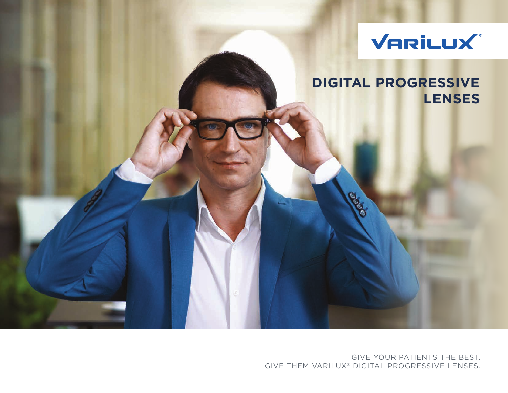

## **DIGITAL PROGRESSIVE LENSES**

GIVE YOUR PATIENTS THE BEST. GIVE THEM VARILUX® DIGITAL PROGRESSIVE LENSES.

Regi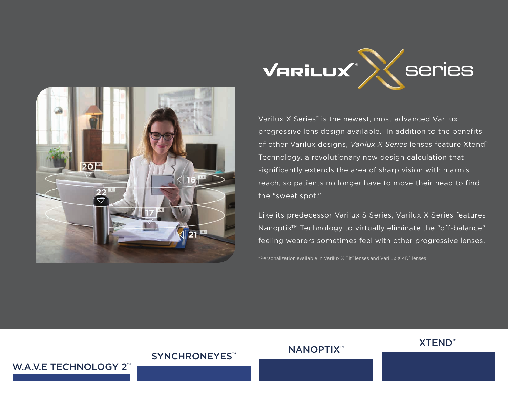



Varilux X Series™ is the newest, most advanced Varilux progressive lens design available. In addition to the benefits of other Varilux designs, *Varilux X Series* lenses feature Xtend™ Technology, a revolutionary new design calculation that significantly extends the area of sharp vision within arm's reach, so patients no longer have to move their head to find the "sweet spot."

Like its predecessor Varilux S Series, Varilux X Series features Nanoptix<sup>™</sup> Technology to virtually eliminate the "off-balance" feeling wearers sometimes feel with other progressive lenses.

\*Personalization available in Varilux X Fit™ lenses and Varilux X 4D™ lenses

SYNCHRONEYES™ NANOPTIX™ XTEND™

#### W.A.V.E TECHNOLOGY 2<sup>™</sup>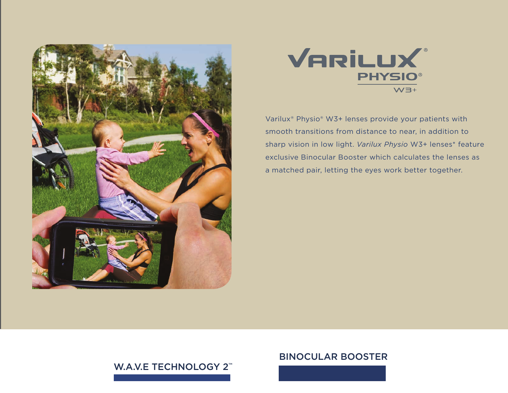



Varilux® Physio® W3+ lenses provide your patients with smooth transitions from distance to near, in addition to sharp vision in low light. *Varilux Physio* W3+ lenses\* feature exclusive Binocular Booster which calculates the lenses as a matched pair, letting the eyes work better together.

### W.A.V.E TECHNOLOGY 2<sup>™</sup>

#### BINOCULAR BOOSTER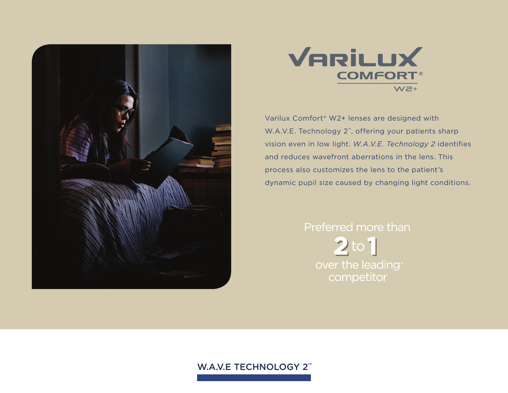



Varilux Comfort® W2+ lenses are designed with W.A.V.E. Technology 2<sup>™</sup>, offering your patients sharp vision even in low light. *W.A.V.E. Technology 2* identifies and reduces wavefront aberrations in the lens. This process also customizes the lens to the patient's dynamic pupil size caused by changing light conditions.

# Preferred more than  $2<sup>to</sup>1$ over the leading competitor

#### W.A.V.E TECHNOLOGY 2<sup>™</sup>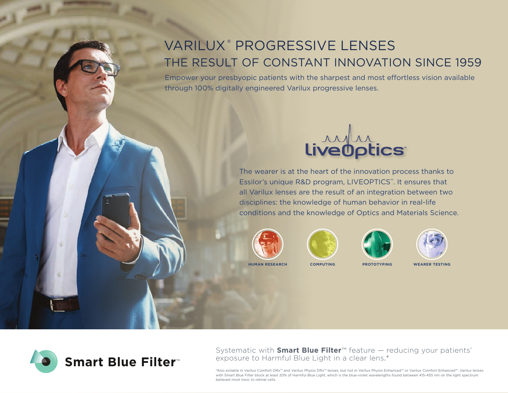## VARILUX® PROGRESSIVE LENSES THE RESULT OF CONSTANT INNOVATION SINCE 1959

Empower your presbyopic patients with the sharpest and most effortless vision available through 100% digitally engineered Varilux progressive lenses.



The wearer is at the heart of the innovation process thanks to Essilor's unique R&D program, LIVEOPTICS™. It ensures that all Varilux lenses are the result of an integration between two disciplines: the knowledge of human behavior in real-life conditions and the knowledge of Optics and Materials Science.











Systematic with **Smart Blue Filter**™ feature — reducing your patients' exposure to Harmful Blue Light in a clear lens.\*

\*Also avilable in Varilux Comfort DRx™ and Varilux Physio DRx™ lenses, but not in Varilux Physio Enhanced™ or Varilux Comfort Enhanced™. *Varilux* lenses with Smart Blue Filter block at least 20% of Harmful Blue Light, which is the blue-violet wavelengths found between 415-455 nm on the light spectrum believed most toxic to retinal cells.